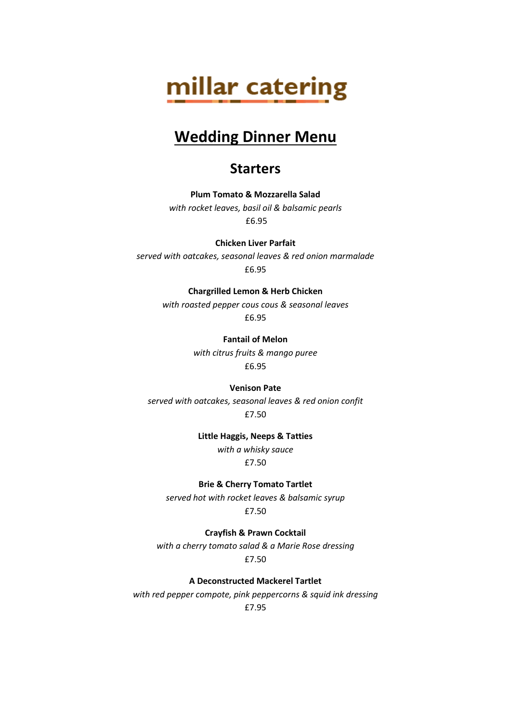# millar catering

# **Wedding Dinner Menu**

# **Starters**

**Plum Tomato & Mozzarella Salad** *with rocket leaves, basil oil & balsamic pearls* £6.95

**Chicken Liver Parfait**  *served with oatcakes, seasonal leaves & red onion marmalade* £6.95

**Chargrilled Lemon & Herb Chicken** 

*with roasted pepper cous cous & seasonal leaves* £6.95

> **Fantail of Melon**  *with citrus fruits & mango puree* £6.95

**Venison Pate**  *served with oatcakes, seasonal leaves & red onion confit* £7.50

> **Little Haggis, Neeps & Tatties**  *with a whisky sauce*

> > £7.50

**Brie & Cherry Tomato Tartlet**  *served hot with rocket leaves & balsamic syrup* £7.50

**Crayfish & Prawn Cocktail**  *with a cherry tomato salad & a Marie Rose dressing* £7.50

**A Deconstructed Mackerel Tartlet**  *with red pepper compote, pink peppercorns & squid ink dressing* £7.95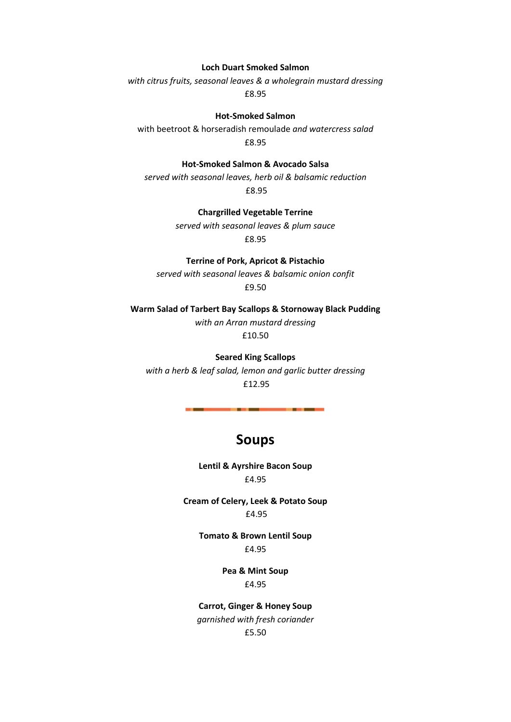**Loch Duart Smoked Salmon** 

*with citrus fruits, seasonal leaves & a wholegrain mustard dressing* £8.95

**Hot-Smoked Salmon** 

with beetroot & horseradish remoulade *and watercress salad* £8.95

**Hot-Smoked Salmon & Avocado Salsa**

*served with seasonal leaves, herb oil & balsamic reduction* £8.95

> **Chargrilled Vegetable Terrine**  *served with seasonal leaves & plum sauce* £8.95

**Terrine of Pork, Apricot & Pistachio**  *served with seasonal leaves & balsamic onion confit* £9.50

**Warm Salad of Tarbert Bay Scallops & Stornoway Black Pudding** *with an Arran mustard dressing* £10.50

**Seared King Scallops**  *with a herb & leaf salad, lemon and garlic butter dressing* £12.95

# **Soups**

**Lentil & Ayrshire Bacon Soup** £4.95

**Cream of Celery, Leek & Potato Soup** £4.95

**Tomato & Brown Lentil Soup** £4.95

> **Pea & Mint Soup** £4.95

**Carrot, Ginger & Honey Soup**  *garnished with fresh coriander* £5.50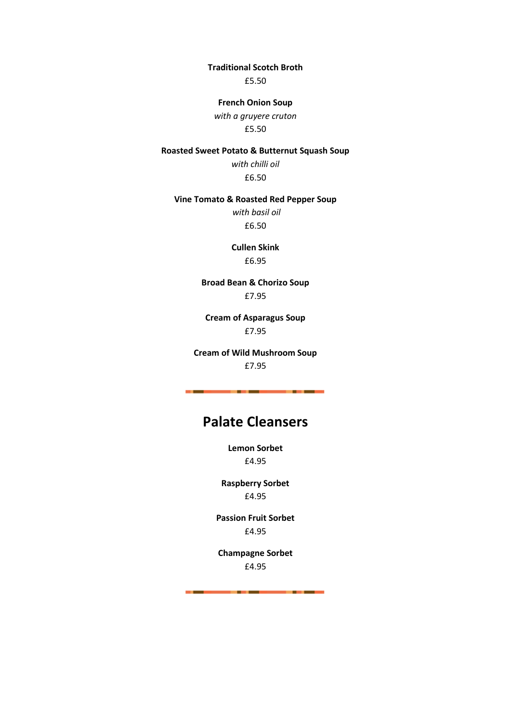**Traditional Scotch Broth**

£5.50

**French Onion Soup** 

*with a gruyere cruton* £5.50

**Roasted Sweet Potato & Butternut Squash Soup**

*with chilli oil* £6.50

**Vine Tomato & Roasted Red Pepper Soup**

 *with basil oil*  £6.50

**Cullen Skink**  £6.95

**Broad Bean & Chorizo Soup** £7.95

**Cream of Asparagus Soup** £7.95

**Cream of Wild Mushroom Soup** £7.95

# **Palate Cleansers**

**Lemon Sorbet** £4.95

**Raspberry Sorbet** £4.95

**Passion Fruit Sorbet** £4.95

**Champagne Sorbet**  £4.95

--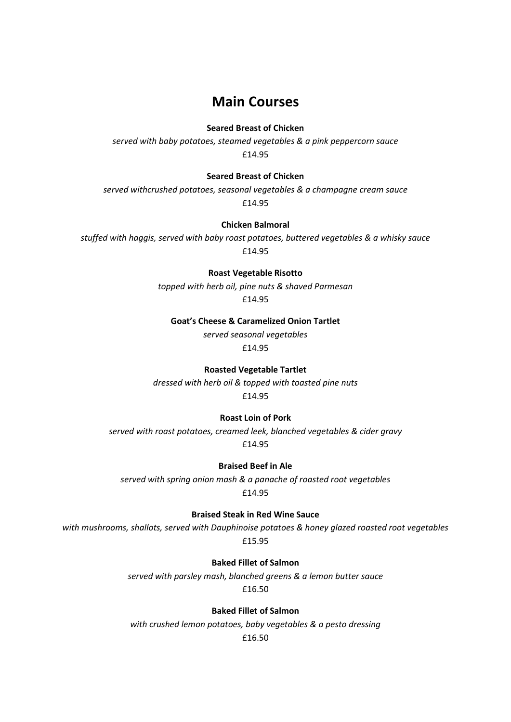# **Main Courses**

### **Seared Breast of Chicken**

*served with baby potatoes, steamed vegetables & a pink peppercorn sauce* £14.95

### **Seared Breast of Chicken**

*served withcrushed potatoes, seasonal vegetables & a champagne cream sauce*  £14.95

### **Chicken Balmoral**

*stuffed with haggis, served with baby roast potatoes, buttered vegetables & a whisky sauce*  £14.95

#### **Roast Vegetable Risotto**

*topped with herb oil, pine nuts & shaved Parmesan* £14.95

**Goat's Cheese & Caramelized Onion Tartlet**

*served seasonal vegetables* £14.95

### **Roasted Vegetable Tartlet**

*dressed with herb oil & topped with toasted pine nuts* £14.95

#### **Roast Loin of Pork**

*served with roast potatoes, creamed leek, blanched vegetables & cider gravy*  £14.95

#### **Braised Beef in Ale**

*served with spring onion mash & a panache of roasted root vegetables*  £14.95

**Braised Steak in Red Wine Sauce** 

*with mushrooms, shallots, served with Dauphinoise potatoes & honey glazed roasted root vegetables* £15.95

**Baked Fillet of Salmon** 

*served with parsley mash, blanched greens & a lemon butter sauce*  £16.50

**Baked Fillet of Salmon** 

*with crushed lemon potatoes, baby vegetables & a pesto dressing* £16.50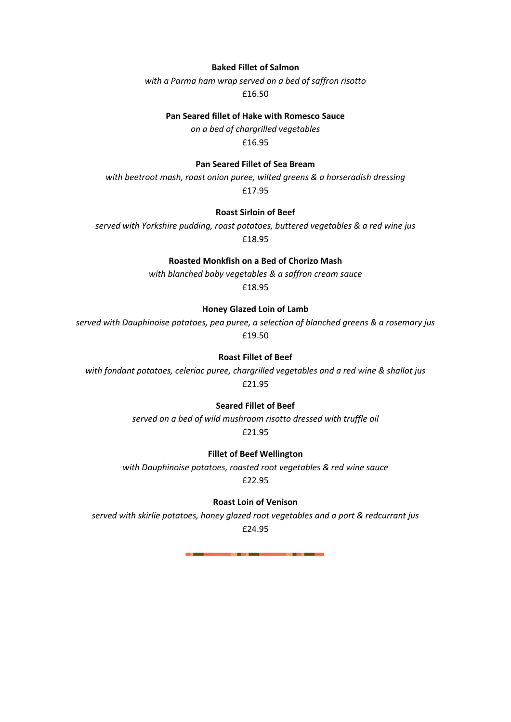#### **Baked Fillet of Salmon**

*with a Parma ham wrap served on a bed of saffron risotto* £16.50

#### **Pan Seared fillet of Hake with Romesco Sauce**

*on a bed of chargrilled vegetables* £16.95

### **Pan Seared Fillet of Sea Bream**

*with beetroot mash, roast onion puree, wilted greens & a horseradish dressing* £17.95

### **Roast Sirloin of Beef**

*served with Yorkshire pudding, roast potatoes, buttered vegetables & a red wine jus* £18.95

### **Roasted Monkfish on a Bed of Chorizo Mash**

*with blanched baby vegetables & a saffron cream sauce*  £18.95

#### **Honey Glazed Loin of Lamb**

*served with Dauphinoise potatoes, pea puree, a selection of blanched greens & a rosemary jus*  £19.50

**Roast Fillet of Beef** 

*with fondant potatoes, celeriac puree, chargrilled vegetables and a red wine & shallot jus*  £21.95

#### **Seared Fillet of Beef**

*served on a bed of wild mushroom risotto dressed with truffle oil* 

£21.95

**Fillet of Beef Wellington** 

*with Dauphinoise potatoes, roasted root vegetables & red wine sauce* £22.95

**Roast Loin of Venison** 

*served with skirlie potatoes, honey glazed root vegetables and a port & redcurrant jus*  £24.95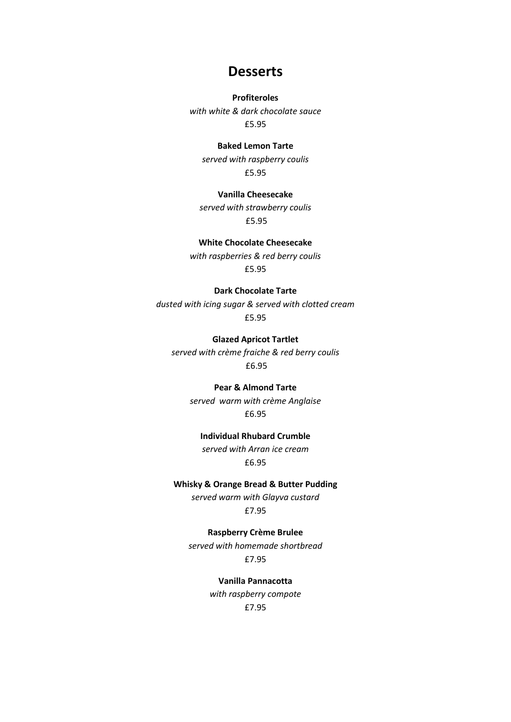## **Desserts**

#### **Profiteroles**

*with white & dark chocolate sauce* £5.95

#### **Baked Lemon Tarte**

*served with raspberry coulis* £5.95

### **Vanilla Cheesecake**

*served with strawberry coulis* £5.95

#### **White Chocolate Cheesecake**

*with raspberries & red berry coulis* £5.95

### **Dark Chocolate Tarte**

*dusted with icing sugar & served with clotted cream* £5.95

**Glazed Apricot Tartlet**  *served with crème fraiche & red berry coulis* £6.95

> **Pear & Almond Tarte**  *served warm with crème Anglaise* £6.95

#### **Individual Rhubard Crumble**

*served with Arran ice cream* £6.95

#### **Whisky & Orange Bread & Butter Pudding**

*served warm with Glayva custard* £7.95

**Raspberry Crème Brulee** 

*served with homemade shortbread* £7.95

> **Vanilla Pannacotta**  *with raspberry compote* £7.95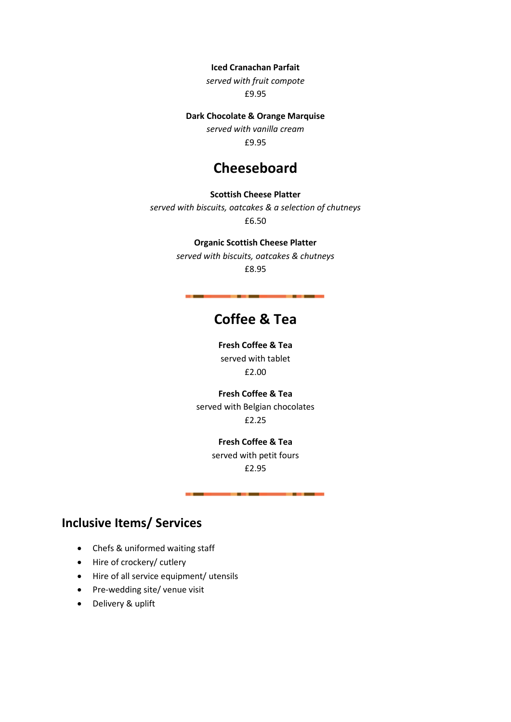**Iced Cranachan Parfait** 

*served with fruit compote* £9.95

**Dark Chocolate & Orange Marquise** 

*served with vanilla cream* £9.95

# **Cheeseboard**

### **Scottish Cheese Platter**

*served with biscuits, oatcakes & a selection of chutneys* £6.50

**Organic Scottish Cheese Platter** 

*served with biscuits, oatcakes & chutneys* £8.95

# **Coffee & Tea**

**Fresh Coffee & Tea**  served with tablet £2.00

**Fresh Coffee & Tea**  served with Belgian chocolates £2.25

> **Fresh Coffee & Tea**  served with petit fours £2.95

# **Inclusive Items/ Services**

- Chefs & uniformed waiting staff
- Hire of crockery/ cutlery
- Hire of all service equipment/ utensils
- Pre-wedding site/ venue visit
- Delivery & uplift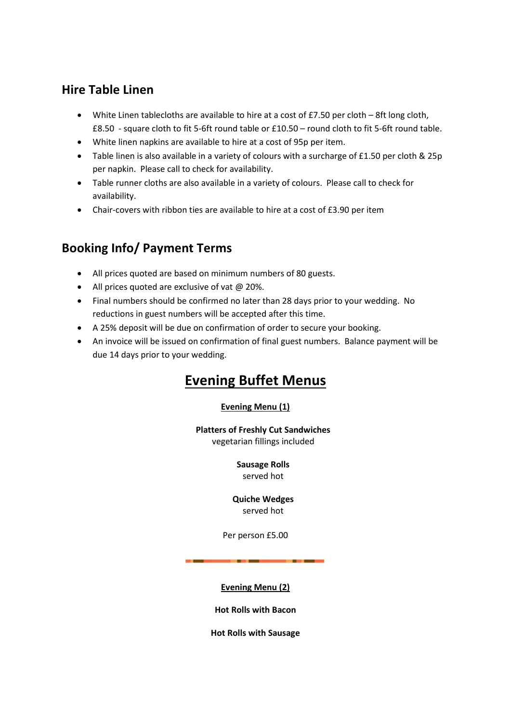# **Hire Table Linen**

- White Linen tablecloths are available to hire at a cost of £7.50 per cloth 8ft long cloth, £8.50 - square cloth to fit 5-6ft round table or £10.50 – round cloth to fit 5-6ft round table.
- White linen napkins are available to hire at a cost of 95p per item.
- Table linen is also available in a variety of colours with a surcharge of £1.50 per cloth & 25p per napkin. Please call to check for availability.
- Table runner cloths are also available in a variety of colours. Please call to check for availability.
- Chair-covers with ribbon ties are available to hire at a cost of £3.90 per item

# **Booking Info/ Payment Terms**

- All prices quoted are based on minimum numbers of 80 guests.
- All prices quoted are exclusive of vat @ 20%.
- Final numbers should be confirmed no later than 28 days prior to your wedding. No reductions in guest numbers will be accepted after this time.
- A 25% deposit will be due on confirmation of order to secure your booking.
- An invoice will be issued on confirmation of final guest numbers. Balance payment will be due 14 days prior to your wedding.

# **Evening Buffet Menus**

### **Evening Menu (1)**

**Platters of Freshly Cut Sandwiches** vegetarian fillings included

> **Sausage Rolls**  served hot

**Quiche Wedges**  served hot

Per person £5.00

**Evening Menu (2)**

**Hot Rolls with Bacon** 

**Hot Rolls with Sausage**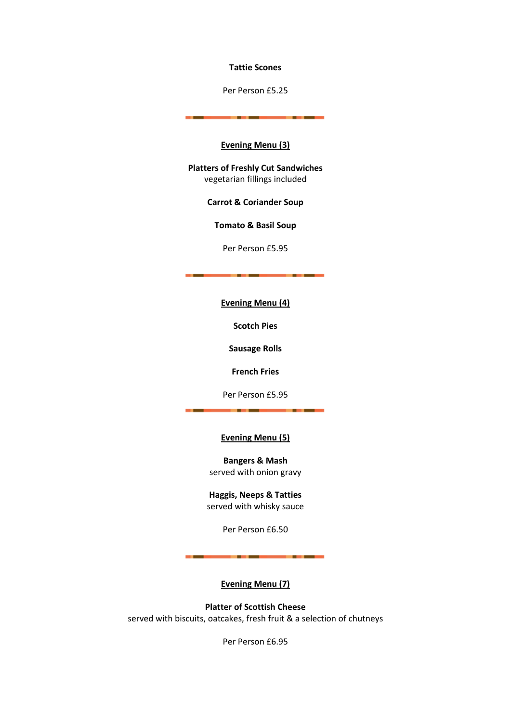#### **Tattie Scones**

Per Person £5.25

#### **Evening Menu (3)**

**Platters of Freshly Cut Sandwiches**  vegetarian fillings included

**Carrot & Coriander Soup** 

**Tomato & Basil Soup** 

Per Person £5.95

. . .

**Evening Menu (4)**

**Scotch Pies** 

**Sausage Rolls** 

**French Fries** 

Per Person £5.95

#### **Evening Menu (5)**

**Bangers & Mash**  served with onion gravy

**Haggis, Neeps & Tatties**  served with whisky sauce

Per Person £6.50

**Evening Menu (7)**

**Platter of Scottish Cheese**  served with biscuits, oatcakes, fresh fruit & a selection of chutneys

Per Person £6.95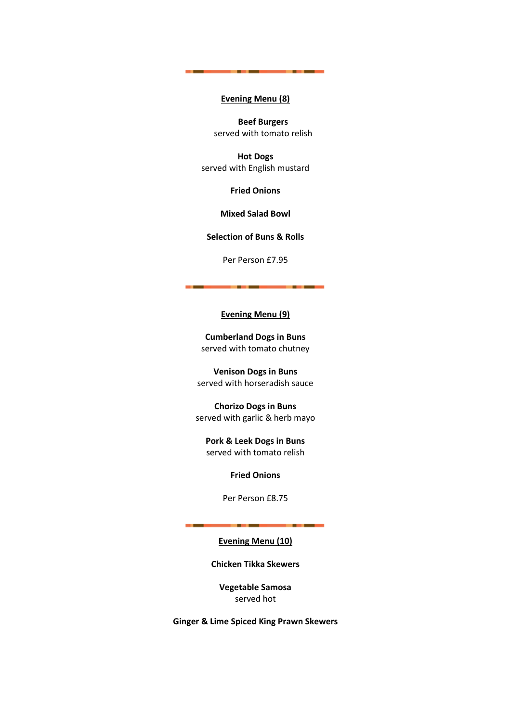#### **Evening Menu (8)**

**Beef Burgers**  served with tomato relish

**Hot Dogs**  served with English mustard

**Fried Onions** 

**Mixed Salad Bowl** 

**Selection of Buns & Rolls** 

Per Person £7.95

#### **Evening Menu (9)**

**Cumberland Dogs in Buns**  served with tomato chutney

**Venison Dogs in Buns**  served with horseradish sauce

**Chorizo Dogs in Buns**  served with garlic & herb mayo

**Pork & Leek Dogs in Buns**  served with tomato relish

### **Fried Onions**

Per Person £8.75

**Evening Menu (10)**

**Chicken Tikka Skewers** 

**Vegetable Samosa**  served hot

**Ginger & Lime Spiced King Prawn Skewers**